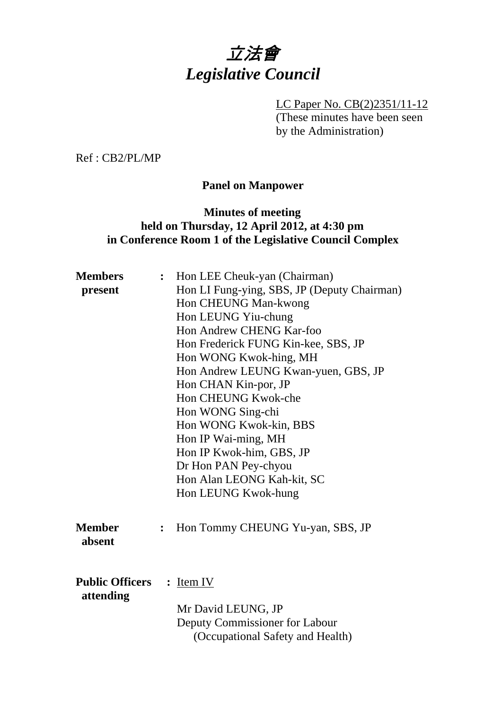

LC Paper No. CB(2)2351/11-12 (These minutes have been seen by the Administration)

Ref : CB2/PL/MP

# **Panel on Manpower**

## **Minutes of meeting held on Thursday, 12 April 2012, at 4:30 pm in Conference Room 1 of the Legislative Council Complex**

| <b>Members</b>                      | $\ddot{\cdot}$ | Hon LEE Cheuk-yan (Chairman)                                       |
|-------------------------------------|----------------|--------------------------------------------------------------------|
| present                             |                | Hon LI Fung-ying, SBS, JP (Deputy Chairman)                        |
|                                     |                | Hon CHEUNG Man-kwong                                               |
|                                     |                | Hon LEUNG Yiu-chung                                                |
|                                     |                | Hon Andrew CHENG Kar-foo                                           |
|                                     |                | Hon Frederick FUNG Kin-kee, SBS, JP                                |
|                                     |                | Hon WONG Kwok-hing, MH                                             |
|                                     |                | Hon Andrew LEUNG Kwan-yuen, GBS, JP                                |
|                                     |                | Hon CHAN Kin-por, JP                                               |
|                                     |                | Hon CHEUNG Kwok-che                                                |
|                                     |                | Hon WONG Sing-chi                                                  |
|                                     |                | Hon WONG Kwok-kin, BBS                                             |
|                                     |                | Hon IP Wai-ming, MH                                                |
|                                     |                | Hon IP Kwok-him, GBS, JP                                           |
|                                     |                | Dr Hon PAN Pey-chyou                                               |
|                                     |                | Hon Alan LEONG Kah-kit, SC                                         |
|                                     |                | Hon LEUNG Kwok-hung                                                |
| <b>Member</b><br>absent             | $\ddot{\cdot}$ | Hon Tommy CHEUNG Yu-yan, SBS, JP                                   |
| <b>Public Officers</b><br>attending |                | $:$ Item IV                                                        |
|                                     |                | Mr David LEUNG, JP                                                 |
|                                     |                | Deputy Commissioner for Labour<br>(Occupational Safety and Health) |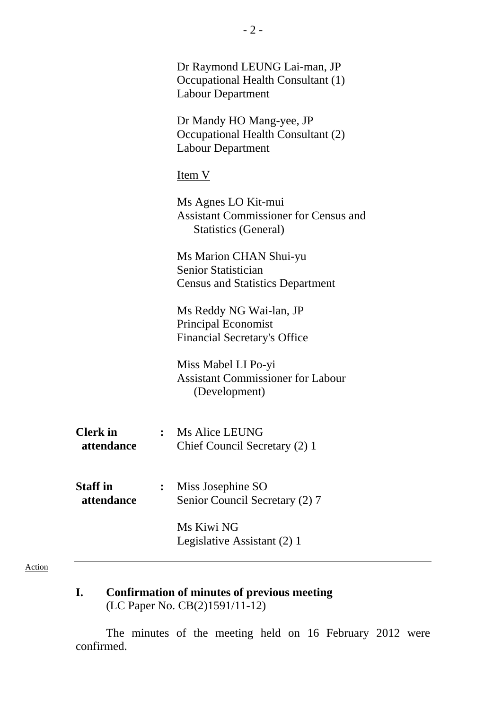|                               |                | Dr Raymond LEUNG Lai-man, JP<br>Occupational Health Consultant (1)<br><b>Labour Department</b>     |
|-------------------------------|----------------|----------------------------------------------------------------------------------------------------|
|                               |                | Dr Mandy HO Mang-yee, JP<br>Occupational Health Consultant (2)<br><b>Labour Department</b>         |
|                               |                | Item V                                                                                             |
|                               |                | Ms Agnes LO Kit-mui<br><b>Assistant Commissioner for Census and</b><br><b>Statistics (General)</b> |
|                               |                | Ms Marion CHAN Shui-yu<br>Senior Statistician<br><b>Census and Statistics Department</b>           |
|                               |                | Ms Reddy NG Wai-lan, JP<br><b>Principal Economist</b><br><b>Financial Secretary's Office</b>       |
|                               |                | Miss Mabel LI Po-yi<br><b>Assistant Commissioner for Labour</b><br>(Development)                   |
| <b>Clerk</b> in<br>attendance | $\ddot{\cdot}$ | <b>Ms Alice LEUNG</b><br>Chief Council Secretary (2) 1                                             |
| <b>Staff</b> in<br>attendance |                | Miss Josephine SO<br>Senior Council Secretary (2) 7                                                |
|                               |                | Ms Kiwi NG<br>Legislative Assistant (2) 1                                                          |
|                               |                |                                                                                                    |

#### Action

**I. Confirmation of minutes of previous meeting**  (LC Paper No. CB(2)1591/11-12)

The minutes of the meeting held on 16 February 2012 were confirmed.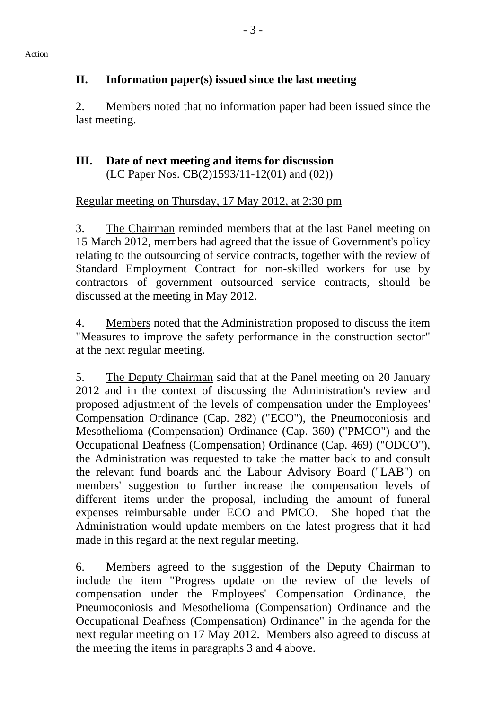# **II. Information paper(s) issued since the last meeting**

2. Members noted that no information paper had been issued since the last meeting.

# **III. Date of next meeting and items for discussion**  (LC Paper Nos. CB(2)1593/11-12(01) and (02))

# Regular meeting on Thursday, 17 May 2012, at 2:30 pm

3. The Chairman reminded members that at the last Panel meeting on 15 March 2012, members had agreed that the issue of Government's policy relating to the outsourcing of service contracts, together with the review of Standard Employment Contract for non-skilled workers for use by contractors of government outsourced service contracts, should be discussed at the meeting in May 2012.

4. Members noted that the Administration proposed to discuss the item "Measures to improve the safety performance in the construction sector" at the next regular meeting.

5. The Deputy Chairman said that at the Panel meeting on 20 January 2012 and in the context of discussing the Administration's review and proposed adjustment of the levels of compensation under the Employees' Compensation Ordinance (Cap. 282) ("ECO"), the Pneumoconiosis and Mesothelioma (Compensation) Ordinance (Cap. 360) ("PMCO") and the Occupational Deafness (Compensation) Ordinance (Cap. 469) ("ODCO"), the Administration was requested to take the matter back to and consult the relevant fund boards and the Labour Advisory Board ("LAB") on members' suggestion to further increase the compensation levels of different items under the proposal, including the amount of funeral expenses reimbursable under ECO and PMCO. She hoped that the Administration would update members on the latest progress that it had made in this regard at the next regular meeting.

6. Members agreed to the suggestion of the Deputy Chairman to include the item "Progress update on the review of the levels of compensation under the Employees' Compensation Ordinance, the Pneumoconiosis and Mesothelioma (Compensation) Ordinance and the Occupational Deafness (Compensation) Ordinance" in the agenda for the next regular meeting on 17 May 2012. Members also agreed to discuss at the meeting the items in paragraphs 3 and 4 above.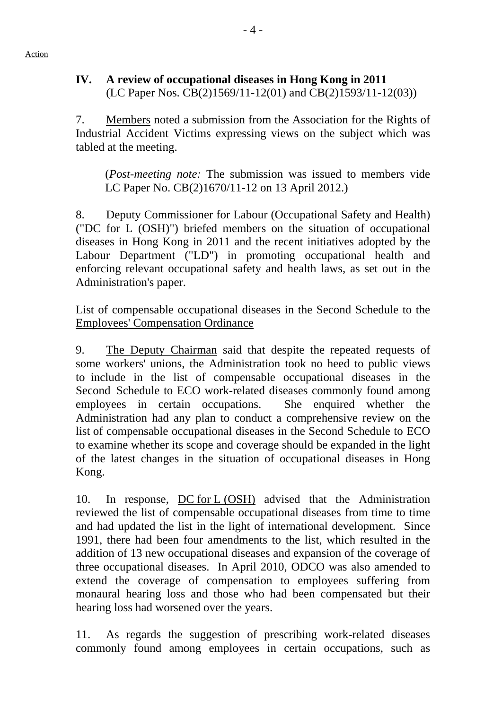### **IV. A review of occupational diseases in Hong Kong in 2011**  (LC Paper Nos. CB(2)1569/11-12(01) and CB(2)1593/11-12(03))

7. Members noted a submission from the Association for the Rights of Industrial Accident Victims expressing views on the subject which was tabled at the meeting.

(*Post-meeting note:* The submission was issued to members vide LC Paper No. CB(2)1670/11-12 on 13 April 2012.)

8. Deputy Commissioner for Labour (Occupational Safety and Health) ("DC for L (OSH)") briefed members on the situation of occupational diseases in Hong Kong in 2011 and the recent initiatives adopted by the Labour Department ("LD") in promoting occupational health and enforcing relevant occupational safety and health laws, as set out in the Administration's paper.

List of compensable occupational diseases in the Second Schedule to the Employees' Compensation Ordinance

9. The Deputy Chairman said that despite the repeated requests of some workers' unions, the Administration took no heed to public views to include in the list of compensable occupational diseases in the Second Schedule to ECO work-related diseases commonly found among employees in certain occupations. She enquired whether the Administration had any plan to conduct a comprehensive review on the list of compensable occupational diseases in the Second Schedule to ECO to examine whether its scope and coverage should be expanded in the light of the latest changes in the situation of occupational diseases in Hong Kong.

10. In response, DC for L (OSH) advised that the Administration reviewed the list of compensable occupational diseases from time to time and had updated the list in the light of international development. Since 1991, there had been four amendments to the list, which resulted in the addition of 13 new occupational diseases and expansion of the coverage of three occupational diseases. In April 2010, ODCO was also amended to extend the coverage of compensation to employees suffering from monaural hearing loss and those who had been compensated but their hearing loss had worsened over the years.

11. As regards the suggestion of prescribing work-related diseases commonly found among employees in certain occupations, such as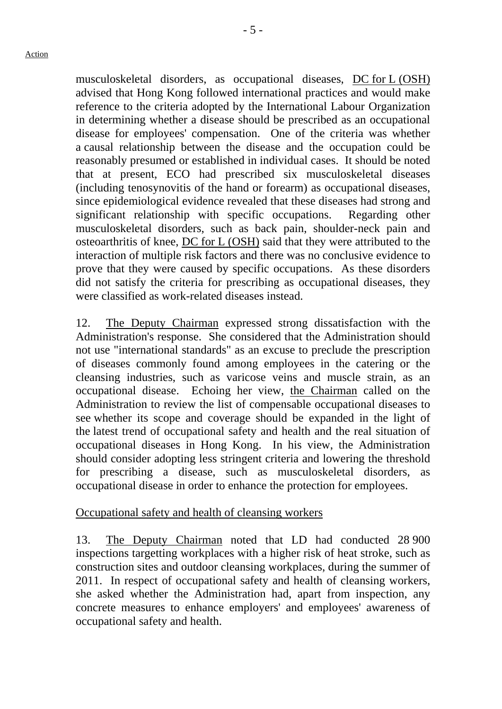musculoskeletal disorders, as occupational diseases, DC for L (OSH) advised that Hong Kong followed international practices and would make reference to the criteria adopted by the International Labour Organization in determining whether a disease should be prescribed as an occupational disease for employees' compensation. One of the criteria was whether a causal relationship between the disease and the occupation could be reasonably presumed or established in individual cases. It should be noted that at present, ECO had prescribed six musculoskeletal diseases (including tenosynovitis of the hand or forearm) as occupational diseases, since epidemiological evidence revealed that these diseases had strong and significant relationship with specific occupations. Regarding other musculoskeletal disorders, such as back pain, shoulder-neck pain and osteoarthritis of knee, DC for L (OSH) said that they were attributed to the interaction of multiple risk factors and there was no conclusive evidence to prove that they were caused by specific occupations. As these disorders did not satisfy the criteria for prescribing as occupational diseases, they were classified as work-related diseases instead.

12. The Deputy Chairman expressed strong dissatisfaction with the Administration's response. She considered that the Administration should not use "international standards" as an excuse to preclude the prescription of diseases commonly found among employees in the catering or the cleansing industries, such as varicose veins and muscle strain, as an occupational disease. Echoing her view, the Chairman called on the Administration to review the list of compensable occupational diseases to see whether its scope and coverage should be expanded in the light of the latest trend of occupational safety and health and the real situation of occupational diseases in Hong Kong. In his view, the Administration should consider adopting less stringent criteria and lowering the threshold for prescribing a disease, such as musculoskeletal disorders, as occupational disease in order to enhance the protection for employees.

# Occupational safety and health of cleansing workers

13. The Deputy Chairman noted that LD had conducted 28 900 inspections targetting workplaces with a higher risk of heat stroke, such as construction sites and outdoor cleansing workplaces, during the summer of 2011. In respect of occupational safety and health of cleansing workers, she asked whether the Administration had, apart from inspection, any concrete measures to enhance employers' and employees' awareness of occupational safety and health.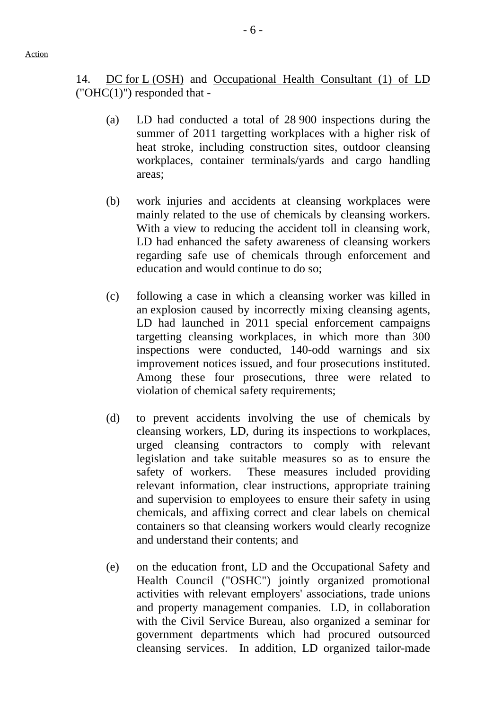Action

14. DC for L (OSH) and Occupational Health Consultant (1) of LD  $("OHC(1)")$  responded that -

- (a) LD had conducted a total of 28 900 inspections during the summer of 2011 targetting workplaces with a higher risk of heat stroke, including construction sites, outdoor cleansing workplaces, container terminals/yards and cargo handling areas;
- (b) work injuries and accidents at cleansing workplaces were mainly related to the use of chemicals by cleansing workers. With a view to reducing the accident toll in cleansing work, LD had enhanced the safety awareness of cleansing workers regarding safe use of chemicals through enforcement and education and would continue to do so;
- (c) following a case in which a cleansing worker was killed in an explosion caused by incorrectly mixing cleansing agents, LD had launched in 2011 special enforcement campaigns targetting cleansing workplaces, in which more than 300 inspections were conducted, 140-odd warnings and six improvement notices issued, and four prosecutions instituted. Among these four prosecutions, three were related to violation of chemical safety requirements;
- (d) to prevent accidents involving the use of chemicals by cleansing workers, LD, during its inspections to workplaces, urged cleansing contractors to comply with relevant legislation and take suitable measures so as to ensure the safety of workers. These measures included providing relevant information, clear instructions, appropriate training and supervision to employees to ensure their safety in using chemicals, and affixing correct and clear labels on chemical containers so that cleansing workers would clearly recognize and understand their contents; and
- (e) on the education front, LD and the Occupational Safety and Health Council ("OSHC") jointly organized promotional activities with relevant employers' associations, trade unions and property management companies. LD, in collaboration with the Civil Service Bureau, also organized a seminar for government departments which had procured outsourced cleansing services. In addition, LD organized tailor-made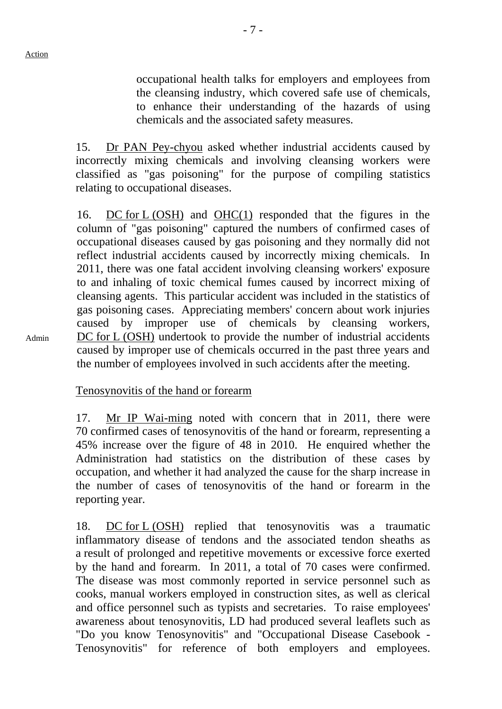Admin

occupational health talks for employers and employees from the cleansing industry, which covered safe use of chemicals, to enhance their understanding of the hazards of using chemicals and the associated safety measures.

15. Dr PAN Pey-chyou asked whether industrial accidents caused by incorrectly mixing chemicals and involving cleansing workers were classified as "gas poisoning" for the purpose of compiling statistics relating to occupational diseases.

16. DC for L (OSH) and OHC(1) responded that the figures in the column of "gas poisoning" captured the numbers of confirmed cases of occupational diseases caused by gas poisoning and they normally did not reflect industrial accidents caused by incorrectly mixing chemicals. In 2011, there was one fatal accident involving cleansing workers' exposure to and inhaling of toxic chemical fumes caused by incorrect mixing of cleansing agents. This particular accident was included in the statistics of gas poisoning cases. Appreciating members' concern about work injuries caused by improper use of chemicals by cleansing workers, DC for L (OSH) undertook to provide the number of industrial accidents caused by improper use of chemicals occurred in the past three years and the number of employees involved in such accidents after the meeting.

Tenosynovitis of the hand or forearm

17. Mr IP Wai-ming noted with concern that in 2011, there were 70 confirmed cases of tenosynovitis of the hand or forearm, representing a 45% increase over the figure of 48 in 2010. He enquired whether the Administration had statistics on the distribution of these cases by occupation, and whether it had analyzed the cause for the sharp increase in the number of cases of tenosynovitis of the hand or forearm in the reporting year.

18. DC for L (OSH) replied that tenosynovitis was a traumatic inflammatory disease of tendons and the associated tendon sheaths as a result of prolonged and repetitive movements or excessive force exerted by the hand and forearm. In 2011, a total of 70 cases were confirmed. The disease was most commonly reported in service personnel such as cooks, manual workers employed in construction sites, as well as clerical and office personnel such as typists and secretaries. To raise employees' awareness about tenosynovitis, LD had produced several leaflets such as "Do you know Tenosynovitis" and "Occupational Disease Casebook - Tenosynovitis" for reference of both employers and employees.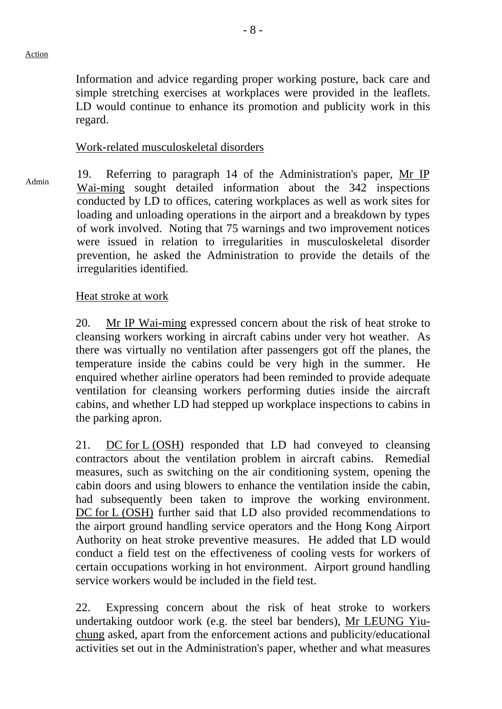Information and advice regarding proper working posture, back care and simple stretching exercises at workplaces were provided in the leaflets. LD would continue to enhance its promotion and publicity work in this regard.

### Work-related musculoskeletal disorders

 $A_{\text{dmin}}$  19. Referring to paragraph 14 of the Administration's paper, Mr IP Wai-ming sought detailed information about the 342 inspections conducted by LD to offices, catering workplaces as well as work sites for loading and unloading operations in the airport and a breakdown by types of work involved. Noting that 75 warnings and two improvement notices were issued in relation to irregularities in musculoskeletal disorder prevention, he asked the Administration to provide the details of the irregularities identified.

## Heat stroke at work

20. Mr IP Wai-ming expressed concern about the risk of heat stroke to cleansing workers working in aircraft cabins under very hot weather. As there was virtually no ventilation after passengers got off the planes, the temperature inside the cabins could be very high in the summer. He enquired whether airline operators had been reminded to provide adequate ventilation for cleansing workers performing duties inside the aircraft cabins, and whether LD had stepped up workplace inspections to cabins in the parking apron.

21. DC for L (OSH) responded that LD had conveyed to cleansing contractors about the ventilation problem in aircraft cabins. Remedial measures, such as switching on the air conditioning system, opening the cabin doors and using blowers to enhance the ventilation inside the cabin, had subsequently been taken to improve the working environment. DC for L (OSH) further said that LD also provided recommendations to the airport ground handling service operators and the Hong Kong Airport Authority on heat stroke preventive measures. He added that LD would conduct a field test on the effectiveness of cooling vests for workers of certain occupations working in hot environment. Airport ground handling service workers would be included in the field test.

22. Expressing concern about the risk of heat stroke to workers undertaking outdoor work (e.g. the steel bar benders), Mr LEUNG Yiuchung asked, apart from the enforcement actions and publicity/educational activities set out in the Administration's paper, whether and what measures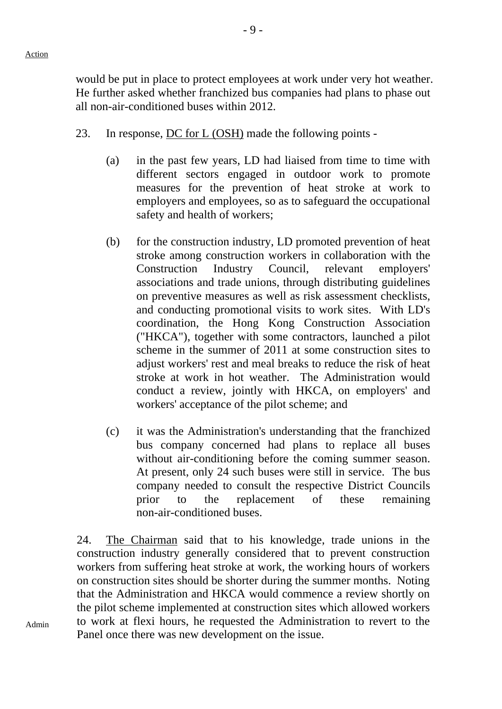would be put in place to protect employees at work under very hot weather. He further asked whether franchized bus companies had plans to phase out all non-air-conditioned buses within 2012.

- 23. In response, DC for L (OSH) made the following points
	- (a) in the past few years, LD had liaised from time to time with different sectors engaged in outdoor work to promote measures for the prevention of heat stroke at work to employers and employees, so as to safeguard the occupational safety and health of workers;
	- (b) for the construction industry, LD promoted prevention of heat stroke among construction workers in collaboration with the Construction Industry Council, relevant employers' associations and trade unions, through distributing guidelines on preventive measures as well as risk assessment checklists, and conducting promotional visits to work sites. With LD's coordination, the Hong Kong Construction Association ("HKCA"), together with some contractors, launched a pilot scheme in the summer of 2011 at some construction sites to adjust workers' rest and meal breaks to reduce the risk of heat stroke at work in hot weather. The Administration would conduct a review, jointly with HKCA, on employers' and workers' acceptance of the pilot scheme; and
	- (c) it was the Administration's understanding that the franchized bus company concerned had plans to replace all buses without air-conditioning before the coming summer season. At present, only 24 such buses were still in service. The bus company needed to consult the respective District Councils prior to the replacement of these remaining non-air-conditioned buses.

24. The Chairman said that to his knowledge, trade unions in the construction industry generally considered that to prevent construction workers from suffering heat stroke at work, the working hours of workers on construction sites should be shorter during the summer months. Noting that the Administration and HKCA would commence a review shortly on the pilot scheme implemented at construction sites which allowed workers to work at flexi hours, he requested the Administration to revert to the Panel once there was new development on the issue.

Admin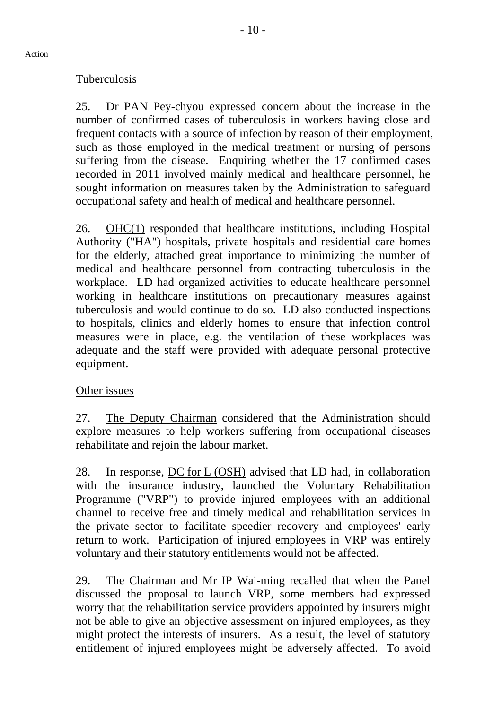### Tuberculosis

25. Dr PAN Pey-chyou expressed concern about the increase in the number of confirmed cases of tuberculosis in workers having close and frequent contacts with a source of infection by reason of their employment, such as those employed in the medical treatment or nursing of persons suffering from the disease. Enquiring whether the 17 confirmed cases recorded in 2011 involved mainly medical and healthcare personnel, he sought information on measures taken by the Administration to safeguard occupational safety and health of medical and healthcare personnel.

26. OHC(1) responded that healthcare institutions, including Hospital Authority ("HA") hospitals, private hospitals and residential care homes for the elderly, attached great importance to minimizing the number of medical and healthcare personnel from contracting tuberculosis in the workplace. LD had organized activities to educate healthcare personnel working in healthcare institutions on precautionary measures against tuberculosis and would continue to do so. LD also conducted inspections to hospitals, clinics and elderly homes to ensure that infection control measures were in place, e.g. the ventilation of these workplaces was adequate and the staff were provided with adequate personal protective equipment.

### Other issues

27. The Deputy Chairman considered that the Administration should explore measures to help workers suffering from occupational diseases rehabilitate and rejoin the labour market.

28. In response, DC for L (OSH) advised that LD had, in collaboration with the insurance industry, launched the Voluntary Rehabilitation Programme ("VRP") to provide injured employees with an additional channel to receive free and timely medical and rehabilitation services in the private sector to facilitate speedier recovery and employees' early return to work. Participation of injured employees in VRP was entirely voluntary and their statutory entitlements would not be affected.

29. The Chairman and Mr IP Wai-ming recalled that when the Panel discussed the proposal to launch VRP, some members had expressed worry that the rehabilitation service providers appointed by insurers might not be able to give an objective assessment on injured employees, as they might protect the interests of insurers. As a result, the level of statutory entitlement of injured employees might be adversely affected. To avoid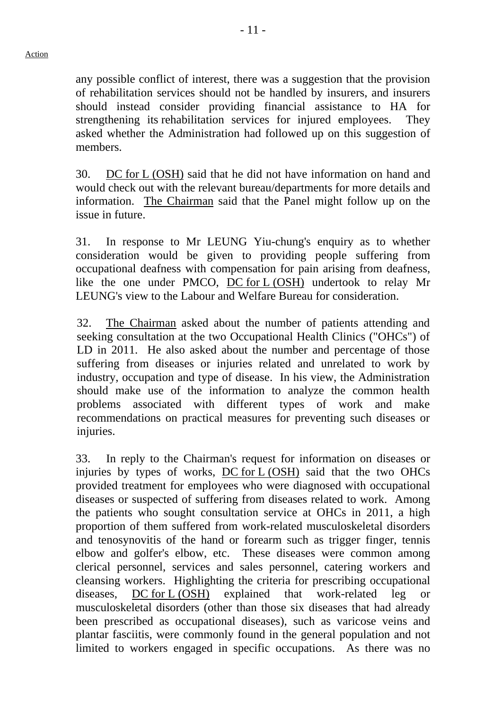any possible conflict of interest, there was a suggestion that the provision of rehabilitation services should not be handled by insurers, and insurers should instead consider providing financial assistance to HA for strengthening its rehabilitation services for injured employees. They asked whether the Administration had followed up on this suggestion of members.

30. DC for L (OSH) said that he did not have information on hand and would check out with the relevant bureau/departments for more details and information. The Chairman said that the Panel might follow up on the issue in future.

31. In response to Mr LEUNG Yiu-chung's enquiry as to whether consideration would be given to providing people suffering from occupational deafness with compensation for pain arising from deafness, like the one under PMCO, DC for L (OSH) undertook to relay Mr LEUNG's view to the Labour and Welfare Bureau for consideration.

32. The Chairman asked about the number of patients attending and seeking consultation at the two Occupational Health Clinics ("OHCs") of LD in 2011. He also asked about the number and percentage of those suffering from diseases or injuries related and unrelated to work by industry, occupation and type of disease. In his view, the Administration should make use of the information to analyze the common health problems associated with different types of work and make recommendations on practical measures for preventing such diseases or injuries.

33. In reply to the Chairman's request for information on diseases or injuries by types of works, DC for L (OSH) said that the two OHCs provided treatment for employees who were diagnosed with occupational diseases or suspected of suffering from diseases related to work. Among the patients who sought consultation service at OHCs in 2011, a high proportion of them suffered from work-related musculoskeletal disorders and tenosynovitis of the hand or forearm such as trigger finger, tennis elbow and golfer's elbow, etc. These diseases were common among clerical personnel, services and sales personnel, catering workers and cleansing workers. Highlighting the criteria for prescribing occupational diseases, DC for L (OSH) explained that work-related leg or musculoskeletal disorders (other than those six diseases that had already been prescribed as occupational diseases), such as varicose veins and plantar fasciitis, were commonly found in the general population and not limited to workers engaged in specific occupations. As there was no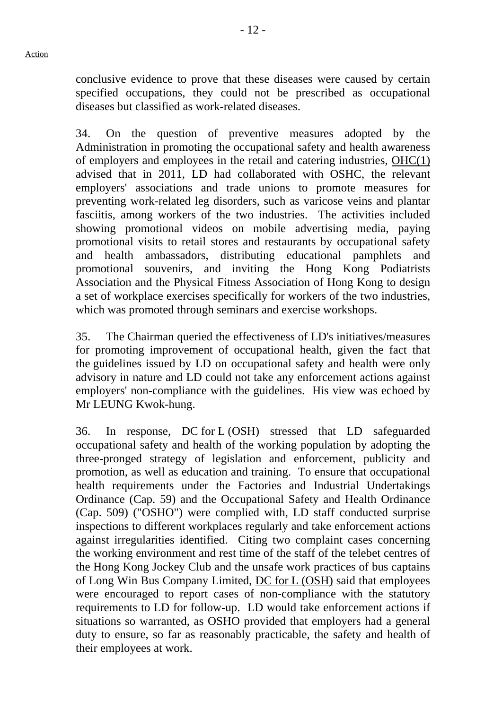conclusive evidence to prove that these diseases were caused by certain specified occupations, they could not be prescribed as occupational diseases but classified as work-related diseases.

34. On the question of preventive measures adopted by the Administration in promoting the occupational safety and health awareness of employers and employees in the retail and catering industries, OHC(1) advised that in 2011, LD had collaborated with OSHC, the relevant employers' associations and trade unions to promote measures for preventing work-related leg disorders, such as varicose veins and plantar fasciitis, among workers of the two industries. The activities included showing promotional videos on mobile advertising media, paying promotional visits to retail stores and restaurants by occupational safety and health ambassadors, distributing educational pamphlets and promotional souvenirs, and inviting the Hong Kong Podiatrists Association and the Physical Fitness Association of Hong Kong to design a set of workplace exercises specifically for workers of the two industries, which was promoted through seminars and exercise workshops.

35. The Chairman queried the effectiveness of LD's initiatives/measures for promoting improvement of occupational health, given the fact that the guidelines issued by LD on occupational safety and health were only advisory in nature and LD could not take any enforcement actions against employers' non-compliance with the guidelines. His view was echoed by Mr LEUNG Kwok-hung.

36. In response, DC for L (OSH) stressed that LD safeguarded occupational safety and health of the working population by adopting the three-pronged strategy of legislation and enforcement, publicity and promotion, as well as education and training. To ensure that occupational health requirements under the Factories and Industrial Undertakings Ordinance (Cap. 59) and the Occupational Safety and Health Ordinance (Cap. 509) ("OSHO") were complied with, LD staff conducted surprise inspections to different workplaces regularly and take enforcement actions against irregularities identified. Citing two complaint cases concerning the working environment and rest time of the staff of the telebet centres of the Hong Kong Jockey Club and the unsafe work practices of bus captains of Long Win Bus Company Limited, DC for L (OSH) said that employees were encouraged to report cases of non-compliance with the statutory requirements to LD for follow-up. LD would take enforcement actions if situations so warranted, as OSHO provided that employers had a general duty to ensure, so far as reasonably practicable, the safety and health of their employees at work.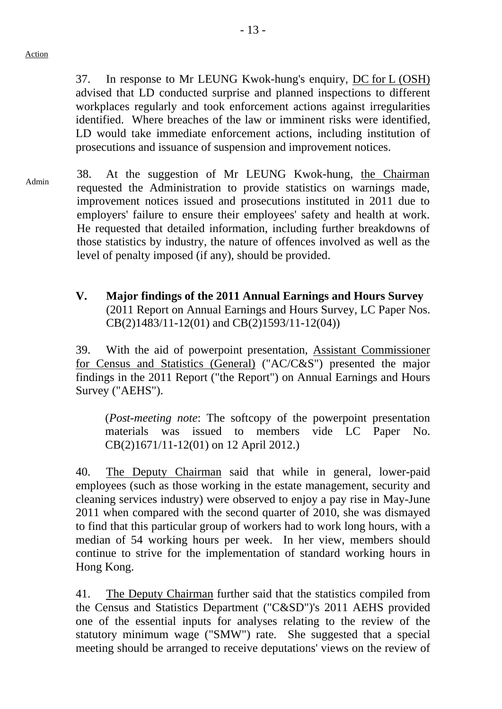37. In response to Mr LEUNG Kwok-hung's enquiry, DC for L (OSH) advised that LD conducted surprise and planned inspections to different workplaces regularly and took enforcement actions against irregularities identified. Where breaches of the law or imminent risks were identified, LD would take immediate enforcement actions, including institution of prosecutions and issuance of suspension and improvement notices.

- Admin 38. At the suggestion of Mr LEUNG Kwok-hung, the Chairman requested the Administration to provide statistics on warnings made, improvement notices issued and prosecutions instituted in 2011 due to employers' failure to ensure their employees' safety and health at work. He requested that detailed information, including further breakdowns of those statistics by industry, the nature of offences involved as well as the level of penalty imposed (if any), should be provided.
	- **V. Major findings of the 2011 Annual Earnings and Hours Survey**  (2011 Report on Annual Earnings and Hours Survey, LC Paper Nos. CB(2)1483/11-12(01) and CB(2)1593/11-12(04))

39. With the aid of powerpoint presentation, Assistant Commissioner for Census and Statistics (General) ("AC/C&S") presented the major findings in the 2011 Report ("the Report") on Annual Earnings and Hours Survey ("AEHS").

(*Post-meeting note*: The softcopy of the powerpoint presentation materials was issued to members vide LC Paper No. CB(2)1671/11-12(01) on 12 April 2012.)

40. The Deputy Chairman said that while in general, lower-paid employees (such as those working in the estate management, security and cleaning services industry) were observed to enjoy a pay rise in May-June 2011 when compared with the second quarter of 2010, she was dismayed to find that this particular group of workers had to work long hours, with a median of 54 working hours per week. In her view, members should continue to strive for the implementation of standard working hours in Hong Kong.

41. The Deputy Chairman further said that the statistics compiled from the Census and Statistics Department ("C&SD")'s 2011 AEHS provided one of the essential inputs for analyses relating to the review of the statutory minimum wage ("SMW") rate. She suggested that a special meeting should be arranged to receive deputations' views on the review of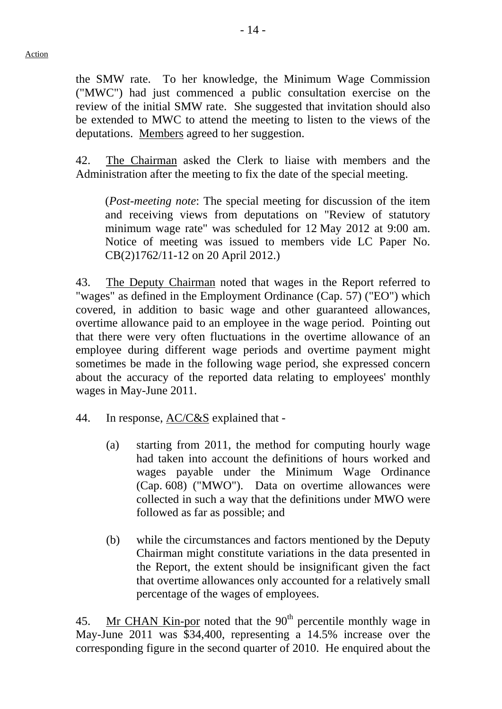the SMW rate. To her knowledge, the Minimum Wage Commission ("MWC") had just commenced a public consultation exercise on the review of the initial SMW rate. She suggested that invitation should also be extended to MWC to attend the meeting to listen to the views of the deputations. Members agreed to her suggestion.

42. The Chairman asked the Clerk to liaise with members and the Administration after the meeting to fix the date of the special meeting.

 (*Post-meeting note*: The special meeting for discussion of the item and receiving views from deputations on "Review of statutory minimum wage rate" was scheduled for 12 May 2012 at 9:00 am. Notice of meeting was issued to members vide LC Paper No. CB(2)1762/11-12 on 20 April 2012.)

43. The Deputy Chairman noted that wages in the Report referred to "wages" as defined in the Employment Ordinance (Cap. 57) ("EO") which covered, in addition to basic wage and other guaranteed allowances, overtime allowance paid to an employee in the wage period. Pointing out that there were very often fluctuations in the overtime allowance of an employee during different wage periods and overtime payment might sometimes be made in the following wage period, she expressed concern about the accuracy of the reported data relating to employees' monthly wages in May-June 2011.

- 44. In response, AC/C&S explained that
	- (a) starting from 2011, the method for computing hourly wage had taken into account the definitions of hours worked and wages payable under the Minimum Wage Ordinance (Cap. 608) ("MWO"). Data on overtime allowances were collected in such a way that the definitions under MWO were followed as far as possible; and
	- (b) while the circumstances and factors mentioned by the Deputy Chairman might constitute variations in the data presented in the Report, the extent should be insignificant given the fact that overtime allowances only accounted for a relatively small percentage of the wages of employees.

45. Mr CHAN Kin-por noted that the  $90<sup>th</sup>$  percentile monthly wage in May-June 2011 was \$34,400, representing a 14.5% increase over the corresponding figure in the second quarter of 2010. He enquired about the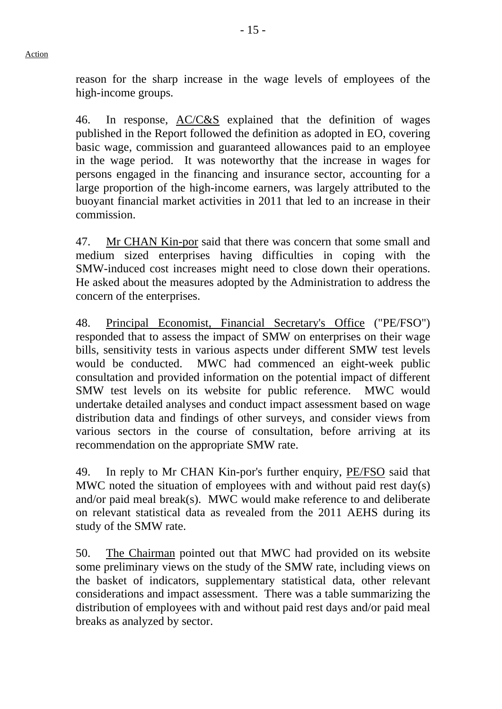reason for the sharp increase in the wage levels of employees of the high-income groups.

46. In response, AC/C&S explained that the definition of wages published in the Report followed the definition as adopted in EO, covering basic wage, commission and guaranteed allowances paid to an employee in the wage period. It was noteworthy that the increase in wages for persons engaged in the financing and insurance sector, accounting for a large proportion of the high-income earners, was largely attributed to the buoyant financial market activities in 2011 that led to an increase in their commission.

47. Mr CHAN Kin-por said that there was concern that some small and medium sized enterprises having difficulties in coping with the SMW-induced cost increases might need to close down their operations. He asked about the measures adopted by the Administration to address the concern of the enterprises.

48. Principal Economist, Financial Secretary's Office ("PE/FSO") responded that to assess the impact of SMW on enterprises on their wage bills, sensitivity tests in various aspects under different SMW test levels would be conducted. MWC had commenced an eight-week public consultation and provided information on the potential impact of different SMW test levels on its website for public reference. MWC would undertake detailed analyses and conduct impact assessment based on wage distribution data and findings of other surveys, and consider views from various sectors in the course of consultation, before arriving at its recommendation on the appropriate SMW rate.

49. In reply to Mr CHAN Kin-por's further enquiry, PE/FSO said that MWC noted the situation of employees with and without paid rest day(s) and/or paid meal break(s). MWC would make reference to and deliberate on relevant statistical data as revealed from the 2011 AEHS during its study of the SMW rate.

50. The Chairman pointed out that MWC had provided on its website some preliminary views on the study of the SMW rate, including views on the basket of indicators, supplementary statistical data, other relevant considerations and impact assessment. There was a table summarizing the distribution of employees with and without paid rest days and/or paid meal breaks as analyzed by sector.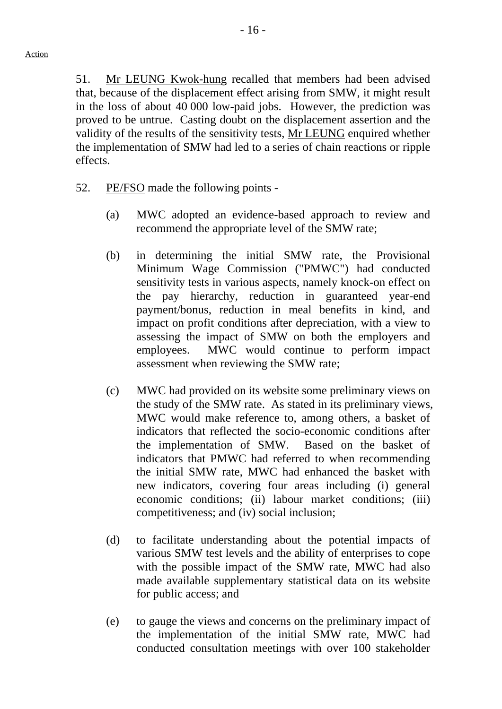51. Mr LEUNG Kwok-hung recalled that members had been advised that, because of the displacement effect arising from SMW, it might result in the loss of about 40 000 low-paid jobs. However, the prediction was proved to be untrue. Casting doubt on the displacement assertion and the validity of the results of the sensitivity tests, Mr LEUNG enquired whether the implementation of SMW had led to a series of chain reactions or ripple effects.

- 52. PE/FSO made the following points -
	- (a) MWC adopted an evidence-based approach to review and recommend the appropriate level of the SMW rate;
	- (b) in determining the initial SMW rate, the Provisional Minimum Wage Commission ("PMWC") had conducted sensitivity tests in various aspects, namely knock-on effect on the pay hierarchy, reduction in guaranteed year-end payment/bonus, reduction in meal benefits in kind, and impact on profit conditions after depreciation, with a view to assessing the impact of SMW on both the employers and employees. MWC would continue to perform impact assessment when reviewing the SMW rate;
	- (c) MWC had provided on its website some preliminary views on the study of the SMW rate. As stated in its preliminary views, MWC would make reference to, among others, a basket of indicators that reflected the socio-economic conditions after the implementation of SMW. Based on the basket of indicators that PMWC had referred to when recommending the initial SMW rate, MWC had enhanced the basket with new indicators, covering four areas including (i) general economic conditions; (ii) labour market conditions; (iii) competitiveness; and (iv) social inclusion;
	- (d) to facilitate understanding about the potential impacts of various SMW test levels and the ability of enterprises to cope with the possible impact of the SMW rate, MWC had also made available supplementary statistical data on its website for public access; and
	- (e) to gauge the views and concerns on the preliminary impact of the implementation of the initial SMW rate, MWC had conducted consultation meetings with over 100 stakeholder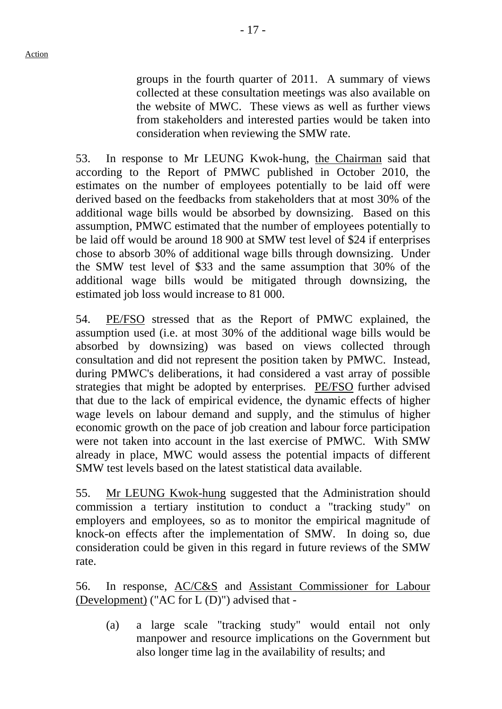- 17 -

groups in the fourth quarter of 2011. A summary of views collected at these consultation meetings was also available on the website of MWC. These views as well as further views from stakeholders and interested parties would be taken into consideration when reviewing the SMW rate.

53. In response to Mr LEUNG Kwok-hung, the Chairman said that according to the Report of PMWC published in October 2010, the estimates on the number of employees potentially to be laid off were derived based on the feedbacks from stakeholders that at most 30% of the additional wage bills would be absorbed by downsizing. Based on this assumption, PMWC estimated that the number of employees potentially to be laid off would be around 18 900 at SMW test level of \$24 if enterprises chose to absorb 30% of additional wage bills through downsizing. Under the SMW test level of \$33 and the same assumption that 30% of the additional wage bills would be mitigated through downsizing, the estimated job loss would increase to 81 000.

54. PE/FSO stressed that as the Report of PMWC explained, the assumption used (i.e. at most 30% of the additional wage bills would be absorbed by downsizing) was based on views collected through consultation and did not represent the position taken by PMWC. Instead, during PMWC's deliberations, it had considered a vast array of possible strategies that might be adopted by enterprises. PE/FSO further advised that due to the lack of empirical evidence, the dynamic effects of higher wage levels on labour demand and supply, and the stimulus of higher economic growth on the pace of job creation and labour force participation were not taken into account in the last exercise of PMWC. With SMW already in place, MWC would assess the potential impacts of different SMW test levels based on the latest statistical data available.

55. Mr LEUNG Kwok-hung suggested that the Administration should commission a tertiary institution to conduct a "tracking study" on employers and employees, so as to monitor the empirical magnitude of knock-on effects after the implementation of SMW. In doing so, due consideration could be given in this regard in future reviews of the SMW rate.

56. In response, AC/C&S and Assistant Commissioner for Labour (Development) ("AC for L (D)") advised that -

(a) a large scale "tracking study" would entail not only manpower and resource implications on the Government but also longer time lag in the availability of results; and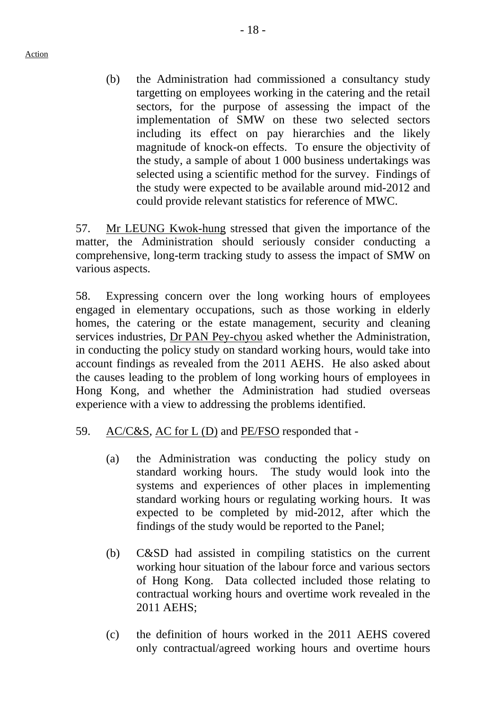Action

(b) the Administration had commissioned a consultancy study targetting on employees working in the catering and the retail sectors, for the purpose of assessing the impact of the implementation of SMW on these two selected sectors including its effect on pay hierarchies and the likely magnitude of knock-on effects. To ensure the objectivity of the study, a sample of about 1 000 business undertakings was selected using a scientific method for the survey. Findings of the study were expected to be available around mid-2012 and could provide relevant statistics for reference of MWC.

57. Mr LEUNG Kwok-hung stressed that given the importance of the matter, the Administration should seriously consider conducting a comprehensive, long-term tracking study to assess the impact of SMW on various aspects.

58. Expressing concern over the long working hours of employees engaged in elementary occupations, such as those working in elderly homes, the catering or the estate management, security and cleaning services industries, Dr PAN Pey-chyou asked whether the Administration, in conducting the policy study on standard working hours, would take into account findings as revealed from the 2011 AEHS. He also asked about the causes leading to the problem of long working hours of employees in Hong Kong, and whether the Administration had studied overseas experience with a view to addressing the problems identified.

- 59. AC/C&S, AC for L (D) and PE/FSO responded that
	- (a) the Administration was conducting the policy study on standard working hours. The study would look into the systems and experiences of other places in implementing standard working hours or regulating working hours. It was expected to be completed by mid-2012, after which the findings of the study would be reported to the Panel;
	- (b) C&SD had assisted in compiling statistics on the current working hour situation of the labour force and various sectors of Hong Kong. Data collected included those relating to contractual working hours and overtime work revealed in the 2011 AEHS;
	- (c) the definition of hours worked in the 2011 AEHS covered only contractual/agreed working hours and overtime hours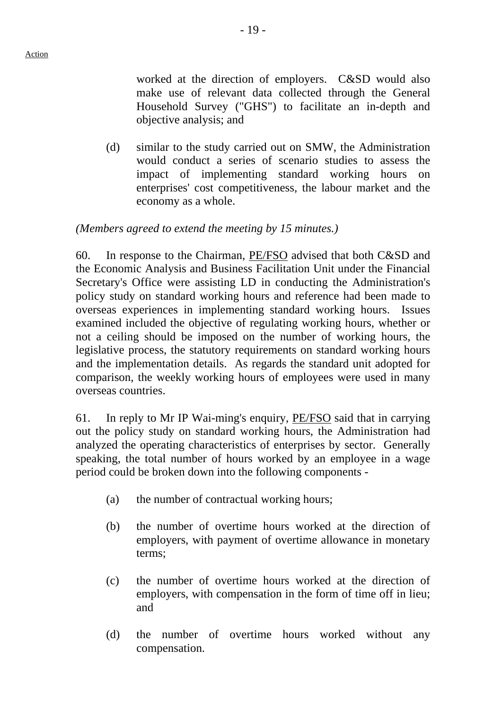worked at the direction of employers. C&SD would also make use of relevant data collected through the General Household Survey ("GHS") to facilitate an in-depth and objective analysis; and

(d) similar to the study carried out on SMW, the Administration would conduct a series of scenario studies to assess the impact of implementing standard working hours on enterprises' cost competitiveness, the labour market and the economy as a whole.

## *(Members agreed to extend the meeting by 15 minutes.)*

60. In response to the Chairman, PE/FSO advised that both C&SD and the Economic Analysis and Business Facilitation Unit under the Financial Secretary's Office were assisting LD in conducting the Administration's policy study on standard working hours and reference had been made to overseas experiences in implementing standard working hours. Issues examined included the objective of regulating working hours, whether or not a ceiling should be imposed on the number of working hours, the legislative process, the statutory requirements on standard working hours and the implementation details. As regards the standard unit adopted for comparison, the weekly working hours of employees were used in many overseas countries.

61. In reply to Mr IP Wai-ming's enquiry, PE/FSO said that in carrying out the policy study on standard working hours, the Administration had analyzed the operating characteristics of enterprises by sector. Generally speaking, the total number of hours worked by an employee in a wage period could be broken down into the following components -

- (a) the number of contractual working hours;
- (b) the number of overtime hours worked at the direction of employers, with payment of overtime allowance in monetary terms;
- (c) the number of overtime hours worked at the direction of employers, with compensation in the form of time off in lieu; and
- (d) the number of overtime hours worked without any compensation.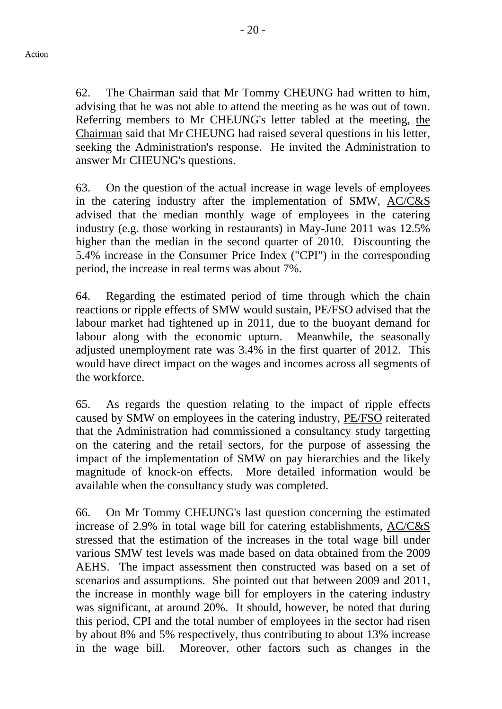62. The Chairman said that Mr Tommy CHEUNG had written to him, advising that he was not able to attend the meeting as he was out of town. Referring members to Mr CHEUNG's letter tabled at the meeting, the

Chairman said that Mr CHEUNG had raised several questions in his letter, seeking the Administration's response. He invited the Administration to answer Mr CHEUNG's questions.

63. On the question of the actual increase in wage levels of employees in the catering industry after the implementation of SMW, AC/C&S advised that the median monthly wage of employees in the catering industry (e.g. those working in restaurants) in May-June 2011 was 12.5% higher than the median in the second quarter of 2010. Discounting the 5.4% increase in the Consumer Price Index ("CPI") in the corresponding period, the increase in real terms was about 7%.

64. Regarding the estimated period of time through which the chain reactions or ripple effects of SMW would sustain, PE/FSO advised that the labour market had tightened up in 2011, due to the buoyant demand for labour along with the economic upturn. Meanwhile, the seasonally adjusted unemployment rate was 3.4% in the first quarter of 2012. This would have direct impact on the wages and incomes across all segments of the workforce.

65. As regards the question relating to the impact of ripple effects caused by SMW on employees in the catering industry, PE/FSO reiterated that the Administration had commissioned a consultancy study targetting on the catering and the retail sectors, for the purpose of assessing the impact of the implementation of SMW on pay hierarchies and the likely magnitude of knock-on effects. More detailed information would be available when the consultancy study was completed.

66. On Mr Tommy CHEUNG's last question concerning the estimated increase of 2.9% in total wage bill for catering establishments, AC/C&S stressed that the estimation of the increases in the total wage bill under various SMW test levels was made based on data obtained from the 2009 AEHS. The impact assessment then constructed was based on a set of scenarios and assumptions. She pointed out that between 2009 and 2011, the increase in monthly wage bill for employers in the catering industry was significant, at around 20%. It should, however, be noted that during this period, CPI and the total number of employees in the sector had risen by about 8% and 5% respectively, thus contributing to about 13% increase in the wage bill. Moreover, other factors such as changes in the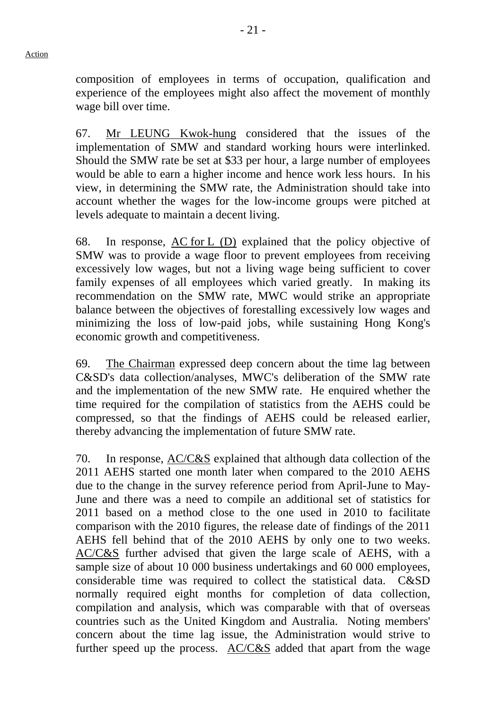composition of employees in terms of occupation, qualification and experience of the employees might also affect the movement of monthly wage bill over time.

67. Mr LEUNG Kwok-hung considered that the issues of the implementation of SMW and standard working hours were interlinked. Should the SMW rate be set at \$33 per hour, a large number of employees would be able to earn a higher income and hence work less hours. In his view, in determining the SMW rate, the Administration should take into account whether the wages for the low-income groups were pitched at levels adequate to maintain a decent living.

68. In response, AC for L (D) explained that the policy objective of SMW was to provide a wage floor to prevent employees from receiving excessively low wages, but not a living wage being sufficient to cover family expenses of all employees which varied greatly. In making its recommendation on the SMW rate, MWC would strike an appropriate balance between the objectives of forestalling excessively low wages and minimizing the loss of low-paid jobs, while sustaining Hong Kong's economic growth and competitiveness.

69. The Chairman expressed deep concern about the time lag between C&SD's data collection/analyses, MWC's deliberation of the SMW rate and the implementation of the new SMW rate. He enquired whether the time required for the compilation of statistics from the AEHS could be compressed, so that the findings of AEHS could be released earlier, thereby advancing the implementation of future SMW rate.

70. In response, AC/C&S explained that although data collection of the 2011 AEHS started one month later when compared to the 2010 AEHS due to the change in the survey reference period from April-June to May-June and there was a need to compile an additional set of statistics for 2011 based on a method close to the one used in 2010 to facilitate comparison with the 2010 figures, the release date of findings of the 2011 AEHS fell behind that of the 2010 AEHS by only one to two weeks. AC/C&S further advised that given the large scale of AEHS, with a sample size of about 10 000 business undertakings and 60 000 employees, considerable time was required to collect the statistical data. C&SD normally required eight months for completion of data collection, compilation and analysis, which was comparable with that of overseas countries such as the United Kingdom and Australia. Noting members' concern about the time lag issue, the Administration would strive to further speed up the process.  $AC/C&S$  added that apart from the wage